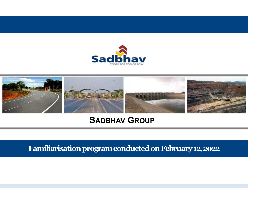



## SADBHAV GROUP

Familiarisation program conducted on February 12,2022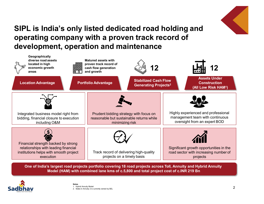

## SIPL is India's only listed dedicated road holding and<br>operating company with a proven track record of<br>development, operation and maintenance operating company with a proven track record of SIPL is India's only listed dedicated road holding and<br>operating company with a proven track record of<br>development, operation and maintenance<br>straighter the provint assets with a section of the control of the straight of



One of India's largest road projects portfolio covering 18 road projects across Toll, Annuity and Hybrid Annuity

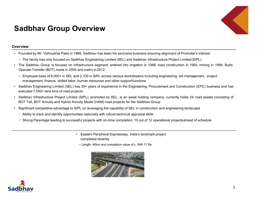# Sadbhav Group Overview<br>werview<br>Werview



## **Overview**

- -
- Founded by Mr. Vishnubhai Patel in 1988, Sadbhav has been his exclusive business ensuring alignment of Promoter's interest<br>• Founded by Mr. Vishnubhai Patel in 1988, Sadbhav has been his exclusive business ensuring align Founded by Mr. Vishnubhai Patel in 1988, Sadbhav has been his exclusive business ensuring alignment of Promoter's interest<br>
— The family has only focused on Sadbhav Engineering Limited (SEL) and Sadbhav Infrastructure Proj **Sadbhav Group Overview**<br>• Founded by Mr. Vishnubhai Patel in 1988, Sadbhav has been his exclusive business ensuring alignment of Promoter's interest<br>• The Sadbhav Group is focused on Sadbhav Engineering Limited (SEL) and **CHOLLANS COMPROVIBY AND CONSTRANS CONSTRANS (SCALL ASSEM**<br>Founded by Mr. Vishnubhai Patel in 1988, Sadbhav has been his exclusive business ensuring alignment of Promoter's inter-<br>The Sadbhav Group is focused on Sadbhav En
	-
- Founded by Mr. Vishnubhai Patel in 1988, Sadbhav has been his exclusive business ensuring alignment of Promoter's interest<br>
 The family has only focused on Sadbhav Engineering Limited (SEL) and Sadbhav Infrastreams includ riew<br>with the Sample of the Sample of the Sample of the Sample of the Sample of the Sample of the Sample of the<br>muded by Mr. Vishnubhai Patel in 1988, Sadbhav has been his exclusive business ensuring alignment of Promoter' **Sadbhav Group Overview**<br>• Founded by Mr. Vishnubhai Patel in 1988, Sadbhav has been his exclusive business ensuring alignment of Promoter's interest<br>• The Sadbhav Group is focused on Sadbhav Engineering Limited (SEL) and Frame Comparison of Signal Comparison of Signal Comparison of Signal Comparison of Signal Comparison of Signal<br>Frame Signal Comparison of The family has only focused on Sadshav Engineering Limited (SEL) and Sadshav Infrast **Sadbhav Group Overview**<br>• Founded by Mr. Vishnubhai Patel in 1988, Sadbhav has been his exclusive business ensuring alignment of Promoter's interest<br>• The Sadbhav Group is focused on Sadbhav Engineering Limited (SEL) and BOT TOLLY A STOUP AND THE WE WELL SERVE TO THE SADE STATE INTERFERING THE STATE INTERFERING IS THE STATE IN INSTENSION ON THE STATE IN THE STATE IN INSTENSION OF THE STATE IN INSTENSION OF THE STATE IN INSTENSION CROSS AND **Sadbhav Group Overview**<br>• Founded by Mr. Vishnubbia Patel in 1988, Sadbhav has been his exclusive business ensuring alignment of Promoter's interest<br>• The family has only focused on Sadbhav Engineering Limited (SEL) and **ACIDIACY GTOUIP UVETVIEW**<br>
Fromded by Mr. Vishnuthai Patel in 1988, Sadbhav has been his exclusive business ensuring alignment of Promoter's interest<br>
The family has only focused on Sadbhav Engineering Limited (SEL) and S **Founded by Mr. Vishnubhai Patel in 1988.** Sadbhaw has been his exclusive business ensuring alignment of Promoter's interest<br>
— The farmly has omly focused on Sadbhaw Engineering Limited (SEL) and Sadbhaw Infrastructure P Fractional Stadian and Stadian and Stadian and Stadian and Stadian and Memoriter Project Limited (SHL) and Stadian Infrastructure Project Limited (SH)<br>
frastructure segment; entered into irrigation in 1988, road constructi is, Sadbhav has been his exclusive business ensuring alignment of Promoter's interave Engineering Limited (SEL) and Sadbhav Infrastructure Project Limited (SIPL)<br>structure segment; entered into irrigation in 1988, road con may Engineering Limited (SEL) and Sadbhav Infrastructure Project Limited (SIPL)<br>
anstructure segment; entered into irrigation in 1988, road construction in 1992, mining in 1994, Build-<br>
and metro in 2012<br>
2,100 in SIPL acr
- 
- -
	- -
		-



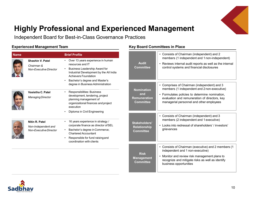

# Highly Professional and Experienced Management<br>Independent Board for Best-in-Class Governance Practices<br>
<u>xperienced Management Team Management Team Management Team Management Team Management Team Management Team</u>

| Independent Board for Best-in-Class Governance Practices<br><b>Experienced Management Team</b> |                                                                 |                                                                                                                                                                                                                  | <b>Key Board Committees in Place</b>                                |                                                                                                                                                                                                                        |  |
|------------------------------------------------------------------------------------------------|-----------------------------------------------------------------|------------------------------------------------------------------------------------------------------------------------------------------------------------------------------------------------------------------|---------------------------------------------------------------------|------------------------------------------------------------------------------------------------------------------------------------------------------------------------------------------------------------------------|--|
| <b>Name</b>                                                                                    |                                                                 | <b>Brief Profile</b>                                                                                                                                                                                             |                                                                     | Consists of Chairman (independent) and 2<br>members (1 independent and 1 non-independent)                                                                                                                              |  |
|                                                                                                | Shashin V. Patel<br>Chairman &<br>Non-Executive Director        | • Over 13 years experience in human<br>resources and IT<br><b>Business Leadership Award for</b><br>Industrial Development by the All India<br>Achievers Foundation<br>Bachelor's degree and Master's             | <b>Audit</b><br><b>Committee</b>                                    | • Reviews internal audit reports as well as the internal<br>control systems and financial disclosures                                                                                                                  |  |
|                                                                                                |                                                                 | degree in Business Administration                                                                                                                                                                                |                                                                     | • Comprises of Chairman (independent) and 3                                                                                                                                                                            |  |
|                                                                                                | Vasistha C. Patel<br><b>Managing Director</b>                   | Responsibilities: Business<br>development, tendering, project<br>planning management of<br>organizational finances and project<br>execution                                                                      | <b>Nomination</b><br>and<br><b>Remuneration</b><br><b>Committee</b> | members (1 independent and 2 non-executive)<br>• Formulates policies to determine nomination,<br>evaluation and remuneration of directors, key<br>managerial personnel and other employees                             |  |
| E                                                                                              | Nitin R. Patel<br>Non-Independent and<br>Non-Executive Director | Diploma in Civil Engineering<br>• 16 years experience in strategy /<br>corporate finance as director of SEL<br>Bachelor's degree in Commerce;<br><b>Chartered Accountant</b><br>Responsible for fund raising and | Stakeholders'<br><b>Relationship</b><br><b>Committee</b>            | Consists of Chairman (independent) and 3<br>members (2 independent and 1 executive)<br>• Looks into redressal of shareholders' / investors'<br>grievances                                                              |  |
|                                                                                                |                                                                 | coordination with clients                                                                                                                                                                                        |                                                                     |                                                                                                                                                                                                                        |  |
|                                                                                                |                                                                 |                                                                                                                                                                                                                  | <b>Risk</b><br><b>Management</b><br><b>Committee</b>                | • Consists of Chairman (executive) and 2 members (1<br>independent and 1 non-executive)<br>• Monitor and review risk management plans to<br>recognize and mitigate risks as well as identify<br>business opportunities |  |

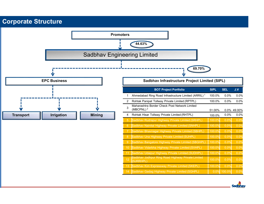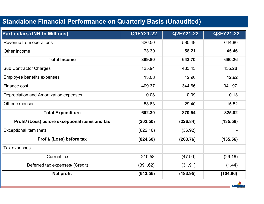| <b>Particulars (INR In Millions)</b>            | Q1FY21-22 | Q2FY21-22 | Q3FY21-22      |
|-------------------------------------------------|-----------|-----------|----------------|
| Revenue from operations                         | 326.50    | 585.49    | 644.80         |
| Other Income                                    | 73.30     | 58.21     | 45.46          |
| <b>Total Income</b>                             | 399.80    | 643.70    | 690.26         |
| <b>Sub Contractor Charges</b>                   | 125.94    | 483.43    | 455.28         |
| <b>Employee benefits expenses</b>               | 13.08     | 12.96     | 12.92          |
| Finance cost                                    | 409.37    | 344.66    | 341.97         |
| Depreciation and Amortization expenses          | 0.08      | 0.09      | 0.13           |
| Other expenses                                  | 53.83     | 29.40     | 15.52          |
| <b>Total Expenditure</b>                        | 602.30    | 870.54    | 825.82         |
| Profit/ (Loss) before exceptional items and tax | (202.50)  | (226.84)  | (135.56)       |
| Exceptional item (net)                          | (622.10)  | (36.92)   | $\blacksquare$ |
| Profit/ (Loss) before tax                       | (824.60)  | (263.76)  | (135.56)       |
| Tax expenses                                    |           |           |                |
| Current tax                                     | 210.58    | (47.90)   | (29.16)        |
| Deferred tax expenses/ (Credit)                 | (391.62)  | (31.91)   | (1.44)         |
| <b>Net profit</b>                               | (643.56)  | (183.95)  | (104.96)       |